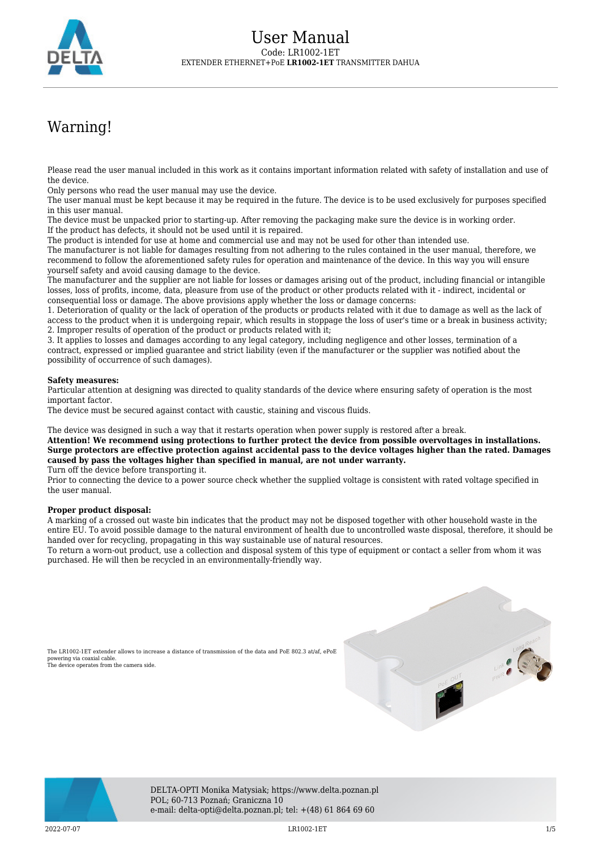

# Warning!

Please read the user manual included in this work as it contains important information related with safety of installation and use of the device.

Only persons who read the user manual may use the device.

The user manual must be kept because it may be required in the future. The device is to be used exclusively for purposes specified in this user manual.

The device must be unpacked prior to starting-up. After removing the packaging make sure the device is in working order. If the product has defects, it should not be used until it is repaired.

The product is intended for use at home and commercial use and may not be used for other than intended use.

The manufacturer is not liable for damages resulting from not adhering to the rules contained in the user manual, therefore, we recommend to follow the aforementioned safety rules for operation and maintenance of the device. In this way you will ensure yourself safety and avoid causing damage to the device.

The manufacturer and the supplier are not liable for losses or damages arising out of the product, including financial or intangible losses, loss of profits, income, data, pleasure from use of the product or other products related with it - indirect, incidental or consequential loss or damage. The above provisions apply whether the loss or damage concerns:

1. Deterioration of quality or the lack of operation of the products or products related with it due to damage as well as the lack of access to the product when it is undergoing repair, which results in stoppage the loss of user's time or a break in business activity; 2. Improper results of operation of the product or products related with it;

3. It applies to losses and damages according to any legal category, including negligence and other losses, termination of a contract, expressed or implied guarantee and strict liability (even if the manufacturer or the supplier was notified about the possibility of occurrence of such damages).

### **Safety measures:**

Particular attention at designing was directed to quality standards of the device where ensuring safety of operation is the most important factor.

The device must be secured against contact with caustic, staining and viscous fluids.

The device was designed in such a way that it restarts operation when power supply is restored after a break.

**Attention! We recommend using protections to further protect the device from possible overvoltages in installations. Surge protectors are effective protection against accidental pass to the device voltages higher than the rated. Damages caused by pass the voltages higher than specified in manual, are not under warranty.**

Turn off the device before transporting it.

Prior to connecting the device to a power source check whether the supplied voltage is consistent with rated voltage specified in the user manual.

### **Proper product disposal:**

A marking of a crossed out waste bin indicates that the product may not be disposed together with other household waste in the entire EU. To avoid possible damage to the natural environment of health due to uncontrolled waste disposal, therefore, it should be handed over for recycling, propagating in this way sustainable use of natural resources.

To return a worn-out product, use a collection and disposal system of this type of equipment or contact a seller from whom it was purchased. He will then be recycled in an environmentally-friendly way.







DELTA-OPTI Monika Matysiak; https://www.delta.poznan.pl POL; 60-713 Poznań; Graniczna 10 e-mail: delta-opti@delta.poznan.pl; tel: +(48) 61 864 69 60

2022-07-07 LR1002-1ET 1/5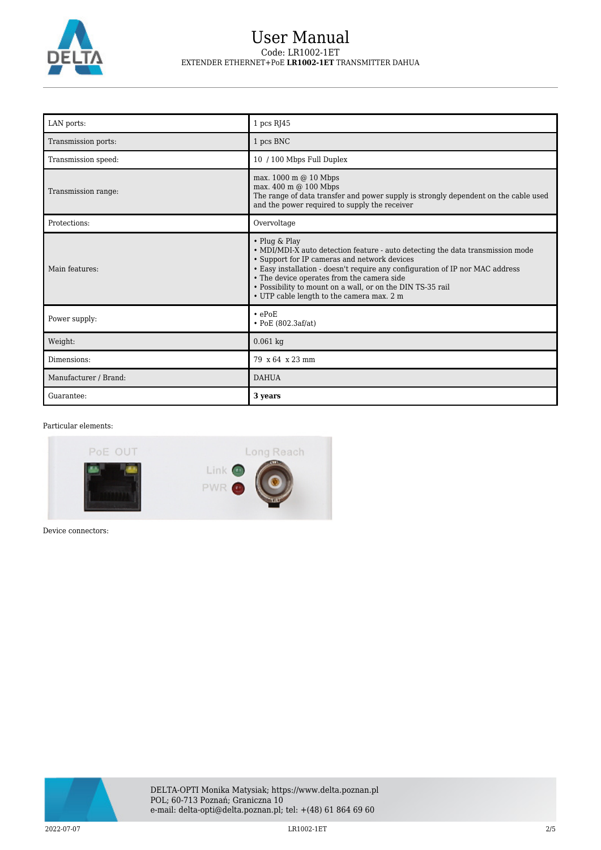

## User Manual Code: LR1002-1ET EXTENDER ETHERNET+PoE **LR1002-1ET** TRANSMITTER DAHUA

| LAN ports:            | 1 pcs RJ45                                                                                                                                                                                                                                                                                                                                                                                |
|-----------------------|-------------------------------------------------------------------------------------------------------------------------------------------------------------------------------------------------------------------------------------------------------------------------------------------------------------------------------------------------------------------------------------------|
| Transmission ports:   | 1 pcs BNC                                                                                                                                                                                                                                                                                                                                                                                 |
| Transmission speed:   | 10 / 100 Mbps Full Duplex                                                                                                                                                                                                                                                                                                                                                                 |
| Transmission range:   | max. 1000 m @ 10 Mbps<br>max. 400 m @ 100 Mbps<br>The range of data transfer and power supply is strongly dependent on the cable used<br>and the power required to supply the receiver                                                                                                                                                                                                    |
| Protections:          | Overvoltage                                                                                                                                                                                                                                                                                                                                                                               |
| Main features:        | • Plug & Play<br>• MDI/MDI-X auto detection feature - auto detecting the data transmission mode<br>• Support for IP cameras and network devices<br>• Easy installation - doesn't require any configuration of IP nor MAC address<br>• The device operates from the camera side<br>• Possibility to mount on a wall, or on the DIN TS-35 rail<br>• UTP cable length to the camera max. 2 m |
| Power supply:         | $\cdot$ ePoE<br>$\cdot$ PoE (802.3af/at)                                                                                                                                                                                                                                                                                                                                                  |
| Weight:               | $0.061$ kg                                                                                                                                                                                                                                                                                                                                                                                |
| Dimensions:           | 79 x 64 x 23 mm                                                                                                                                                                                                                                                                                                                                                                           |
| Manufacturer / Brand: | <b>DAHUA</b>                                                                                                                                                                                                                                                                                                                                                                              |
| Guarantee:            | 3 years                                                                                                                                                                                                                                                                                                                                                                                   |

### Particular elements:



Device connectors:

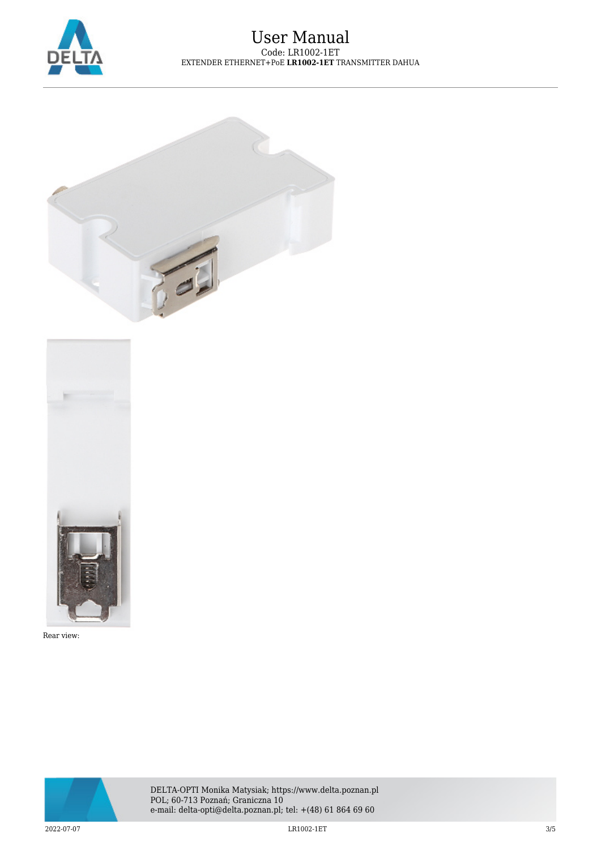

### User Manual Code: LR1002-1ET EXTENDER ETHERNET+PoE **LR1002-1ET** TRANSMITTER DAHUA





Rear view:



DELTA-OPTI Monika Matysiak; https://www.delta.poznan.pl POL; 60-713 Poznań; Graniczna 10 e-mail: delta-opti@delta.poznan.pl; tel: +(48) 61 864 69 60

2022-07-07 LR1002-1ET 3/5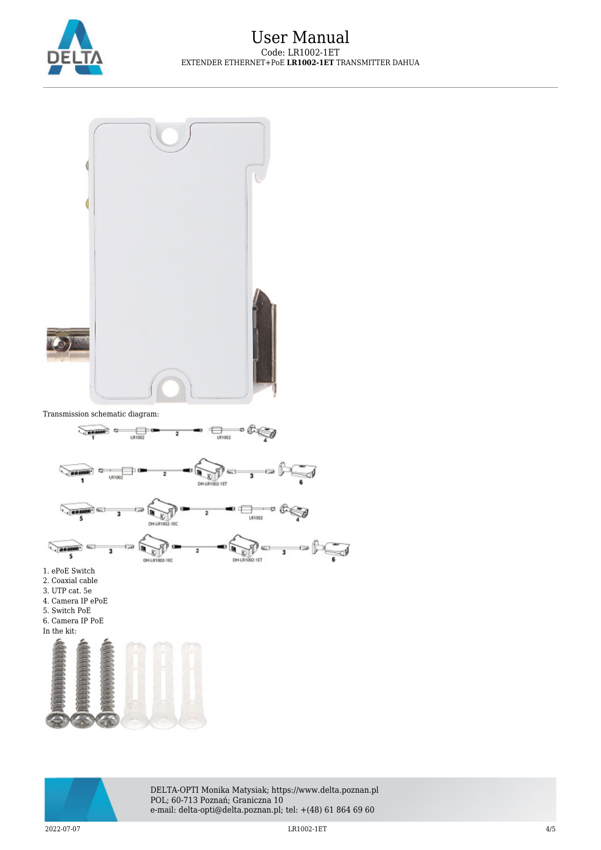



Transmission schematic diagram:





DELTA-OPTI Monika Matysiak; https://www.delta.poznan.pl POL; 60-713 Poznań; Graniczna 10 e-mail: delta-opti@delta.poznan.pl; tel: +(48) 61 864 69 60

2022-07-07 LR1002-1ET 4/5